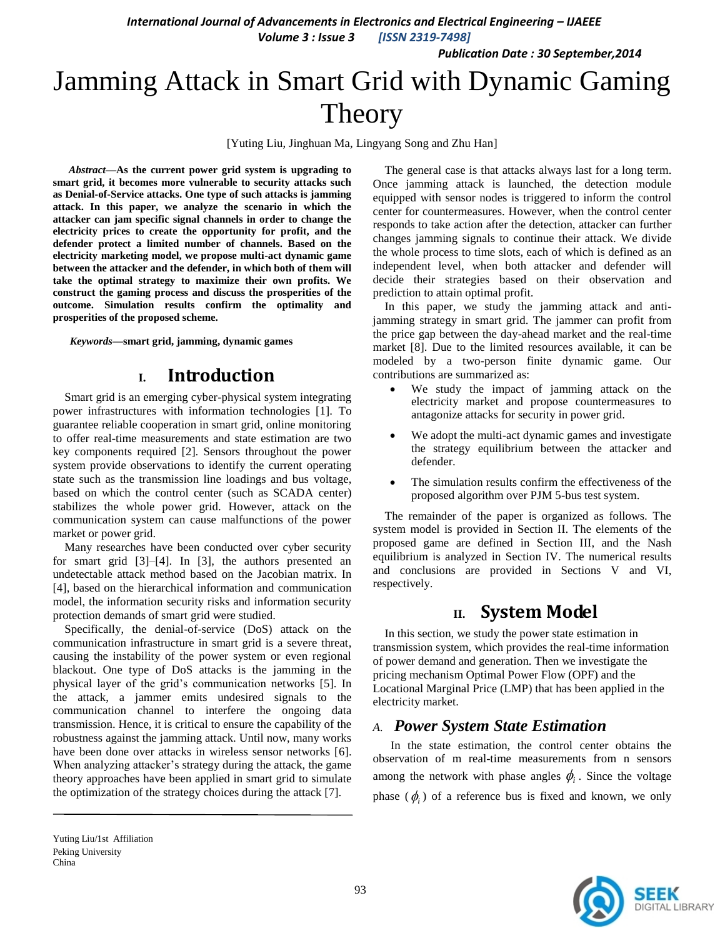*International Journal of Advancements in Electronics and Electrical Engineering – IJAEEE* 

*Volume 3 : Issue 3 [ISSN 2319-7498]*

*Publication Date : 30 September,2014*

# Jamming Attack in Smart Grid with Dynamic Gaming Theory

[Yuting Liu, Jinghuan Ma, Lingyang Song and Zhu Han]

*Abstract***—As the current power grid system is upgrading to smart grid, it becomes more vulnerable to security attacks such as Denial-of-Service attacks. One type of such attacks is jamming attack. In this paper, we analyze the scenario in which the attacker can jam specific signal channels in order to change the electricity prices to create the opportunity for profit, and the defender protect a limited number of channels. Based on the electricity marketing model, we propose multi-act dynamic game between the attacker and the defender, in which both of them will take the optimal strategy to maximize their own profits. We construct the gaming process and discuss the prosperities of the outcome. Simulation results confirm the optimality and prosperities of the proposed scheme.**

*Keywords—***smart grid, jamming, dynamic games**

# **I. Introduction**

Smart grid is an emerging cyber-physical system integrating power infrastructures with information technologies [1]. To guarantee reliable cooperation in smart grid, online monitoring to offer real-time measurements and state estimation are two key components required [2]. Sensors throughout the power system provide observations to identify the current operating state such as the transmission line loadings and bus voltage, based on which the control center (such as SCADA center) stabilizes the whole power grid. However, attack on the communication system can cause malfunctions of the power market or power grid.

Many researches have been conducted over cyber security for smart grid [3]–[4]. In [3], the authors presented an undetectable attack method based on the Jacobian matrix. In [4], based on the hierarchical information and communication model, the information security risks and information security protection demands of smart grid were studied.

Specifically, the denial-of-service (DoS) attack on the communication infrastructure in smart grid is a severe threat, causing the instability of the power system or even regional blackout. One type of DoS attacks is the jamming in the physical layer of the grid's communication networks [5]. In the attack, a jammer emits undesired signals to the communication channel to interfere the ongoing data transmission. Hence, it is critical to ensure the capability of the robustness against the jamming attack. Until now, many works have been done over attacks in wireless sensor networks [6]. When analyzing attacker's strategy during the attack, the game theory approaches have been applied in smart grid to simulate the optimization of the strategy choices during the attack [7].

The general case is that attacks always last for a long term. Once jamming attack is launched, the detection module equipped with sensor nodes is triggered to inform the control center for countermeasures. However, when the control center responds to take action after the detection, attacker can further changes jamming signals to continue their attack. We divide the whole process to time slots, each of which is defined as an independent level, when both attacker and defender will decide their strategies based on their observation and prediction to attain optimal profit.

In this paper, we study the jamming attack and antijamming strategy in smart grid. The jammer can profit from the price gap between the day-ahead market and the real-time market [8]. Due to the limited resources available, it can be modeled by a two-person finite dynamic game. Our contributions are summarized as:

- We study the impact of jamming attack on the electricity market and propose countermeasures to antagonize attacks for security in power grid.
- We adopt the multi-act dynamic games and investigate the strategy equilibrium between the attacker and defender.
- The simulation results confirm the effectiveness of the proposed algorithm over PJM 5-bus test system.

The remainder of the paper is organized as follows. The system model is provided in Section II. The elements of the proposed game are defined in Section III, and the Nash equilibrium is analyzed in Section IV. The numerical results and conclusions are provided in Sections V and VI, respectively.

# **II. System Model**

In this section, we study the power state estimation in transmission system, which provides the real-time information of power demand and generation. Then we investigate the pricing mechanism Optimal Power Flow (OPF) and the Locational Marginal Price (LMP) that has been applied in the electricity market.

## *A. Power System State Estimation*

In the state estimation, the control center obtains the observation of m real-time measurements from n sensors among the network with phase angles  $\phi_i$ . Since the voltage phase  $(\phi_i)$  of a reference bus is fixed and known, we only



Yuting Liu/1st Affiliation Peking University China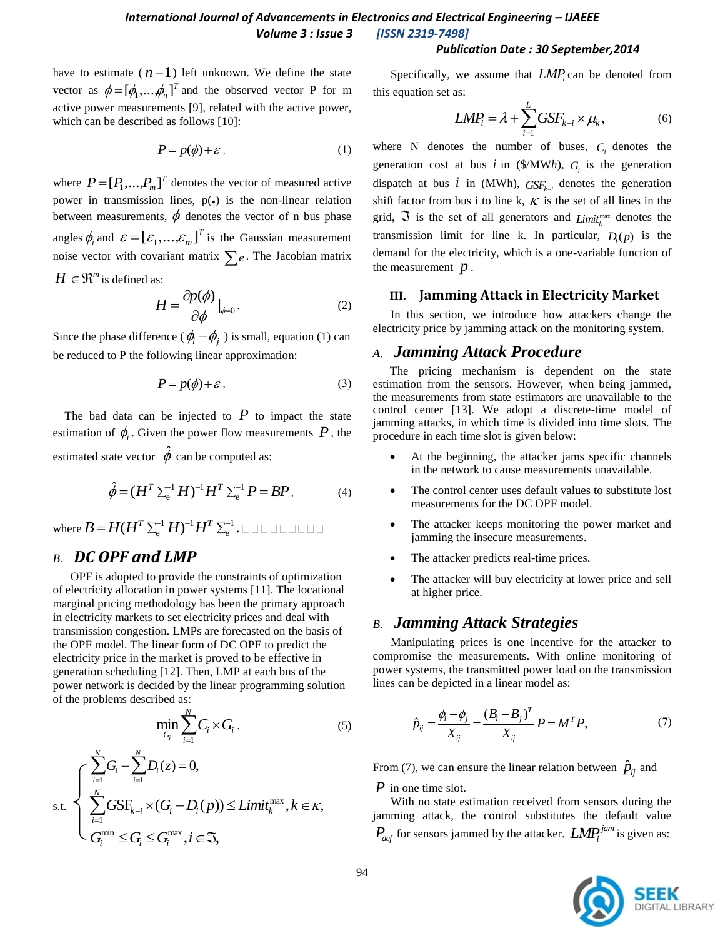#### *Publication Date : 30 September,2014*

have to estimate  $(n-1)$  left unknown. We define the state vector as  $\phi = [\phi_1, \dots, \phi_n]^T$  and the observed vector P for m active power measurements [9], related with the active power, which can be described as follows [10]:

$$
P = p(\phi) + \varepsilon \tag{1}
$$

where  $P = [P_1, ..., P_m]^T$  denotes the vector of measured active power in transmission lines,  $p(\bullet)$  is the non-linear relation between measurements,  $\phi$  denotes the vector of n bus phase angles  $\phi_i$  and  $\boldsymbol{\varepsilon} = [\varepsilon_1, ..., \varepsilon_m]^T$  $\boldsymbol{\varepsilon} = [\varepsilon_1, ..., \varepsilon_m]^T$  is the Gaussian measurement noise vector with covariant matrix  $\sum e$ . The Jacobian matrix  $H \in \mathbb{R}^m$  is defined as:

$$
H = \frac{\partial p(\phi)}{\partial \phi}|_{\phi=0}.
$$
 (2)

Since the phase difference ( $\phi_i - \phi_j$ ) is small, equation (1) can be reduced to P the following linear approximation:

$$
P = p(\phi) + \varepsilon \,,\tag{3}
$$

The bad data can be injected to  $P$  to impact the state estimation of  $\phi$ <sub>i</sub>. Given the power flow measurements P, the estimated state vector  $\hat{\phi}$  can be computed as:

$$
\hat{\phi} = (H^T \Sigma_e^{-1} H)^{-1} H^T \Sigma_e^{-1} P = BP, \tag{4}
$$

where  $B = H(H^T \Sigma_e^{-1} H)^{-1} H^T \Sigma_e^{-1}$ .

## *B. DC OPF and LMP*

OPF is adopted to provide the constraints of optimization of electricity allocation in power systems [11]. The locational marginal pricing methodology has been the primary approach in electricity markets to set electricity prices and deal with transmission congestion. LMPs are forecasted on the basis of the OPF model. The linear form of DC OPF to predict the electricity price in the market is proved to be effective in generation scheduling [12]. Then, LMP at each bus of the power network is decided by the linear programming solution of the problems described as:

$$
\min_{G_i} \sum_{i=1}^N C_i \times G_i \,. \tag{5}
$$

$$
\text{s.t.} \begin{cases} \sum_{i=1}^{N} G_i - \sum_{i=1}^{N} D_i(z) = 0, \\ \sum_{i=1}^{N} G\text{SF}_{k-i} \times (G_i - D_i(p)) \le \text{Limit}_{k}^{\max}, k \in \kappa, \\ G_i^{\min} \le G_i \le G_i^{\max}, i \in \mathfrak{T}, \end{cases}
$$

Specifically, we assume that  $LMP_i$  can be denoted from this equation set as:

$$
LMP_i = \lambda + \sum_{i=1}^{L} GSF_{k-i} \times \mu_k, \qquad (6)
$$

where N denotes the number of buses,  $C_i$  denotes the generation cost at bus *i* in (\$/MW*h*),  $G_i$  is the generation dispatch at bus  $i$  in (MWh),  $GSF_{k-i}$  denotes the generation shift factor from bus i to line k,  $\kappa$  is the set of all lines in the grid,  $\Im$  is the set of all generators and  $Limit_{k}^{\max}$  denotes the transmission limit for line k. In particular,  $D_i(p)$  is the demand for the electricity, which is a one-variable function of the measurement  $p$ .

#### **III. Jamming Attack in Electricity Market**

In this section, we introduce how attackers change the electricity price by jamming attack on the monitoring system.

#### *A. Jamming Attack Procedure*

The pricing mechanism is dependent on the state estimation from the sensors. However, when being jammed, the measurements from state estimators are unavailable to the control center [13]. We adopt a discrete-time model of jamming attacks, in which time is divided into time slots. The procedure in each time slot is given below:

- At the beginning, the attacker jams specific channels in the network to cause measurements unavailable.
- The control center uses default values to substitute lost measurements for the DC OPF model.
- The attacker keeps monitoring the power market and jamming the insecure measurements.
- The attacker predicts real-time prices.
- The attacker will buy electricity at lower price and sell at higher price.

#### *B. Jamming Attack Strategies*

Manipulating prices is one incentive for the attacker to compromise the measurements. With online monitoring of power systems, the transmitted power load on the transmission lines can be depicted in a linear model as:

$$
\hat{p}_{ij} = \frac{\phi_i - \phi_j}{X_{ij}} = \frac{(B_i - B_j)^T}{X_{ij}} P = M^T P, \tag{7}
$$

From (7), we can ensure the linear relation between  $\hat{p}_{ij}$  and

*P* in one time slot.

With no state estimation received from sensors during the jamming attack, the control substitutes the default value  $P_{def}$  for sensors jammed by the attacker.  $LMP_i^{jam}$  is given as:

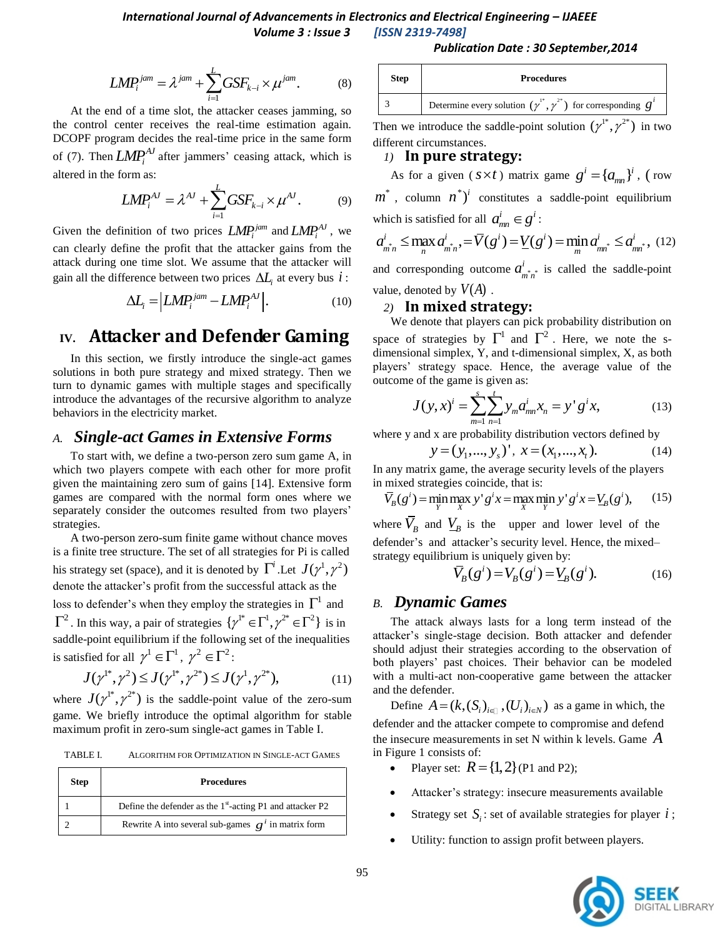#### *International Journal of Advancements in Electronics and Electrical Engineering – IJAEEE Volume 3 : Issue 3 [ISSN 2319-7498]*

#### 1  $L^{jam} = \lambda^{jam} + \sum^L GSF_{k-i} \times \mu^{jam}.$  $\textit{LMP}_{i}^{jam} = \lambda^{jam} + \sum_{i=1}^{L} GSF_{k-i} \times \mu^{jam}.$  (8)

At the end of a time slot, the attacker ceases jamming, so the control center receives the real-time estimation again. DCOPF program decides the real-time price in the same form of (7). Then  $LMP_i^{AJ}$  after jammers' ceasing attack, which is altered in the form as:

$$
LMP_i^{AJ} = \lambda^{AJ} + \sum_{i=1}^{L} GSF_{k-i} \times \mu^{AJ}.
$$
 (9)

Given the definition of two prices  $LMP_i^{jam}$  and  $LMP_i^{AJ}$ , we can clearly define the profit that the attacker gains from the attack during one time slot. We assume that the attacker will gain all the difference between two prices  $\Delta L$ <sub>*i*</sub> at every bus  $i$ :

$$
\Delta L_i = \left| LMP_i^{jam} - LMP_i^{AJ} \right|.
$$
 (10)

# **IV. Attacker and Defender Gaming**

In this section, we firstly introduce the single-act games solutions in both pure strategy and mixed strategy. Then we turn to dynamic games with multiple stages and specifically introduce the advantages of the recursive algorithm to analyze behaviors in the electricity market.

#### *A. Single-act Games in Extensive Forms*

To start with, we define a two-person zero sum game A, in which two players compete with each other for more profit given the maintaining zero sum of gains [14]. Extensive form games are compared with the normal form ones where we separately consider the outcomes resulted from two players' strategies.

A two-person zero-sum finite game without chance moves is a finite tree structure. The set of all strategies for Pi is called his strategy set (space), and it is denoted by  $\Gamma^i$  .Let  $J(\gamma^1, \gamma^2)$ denote the attacker's profit from the successful attack as the loss to defender's when they employ the strategies in  $\Gamma^1$  and  $\Gamma^2$ . In this way, a pair of strategies  $\{\gamma^{1*} \in \Gamma^1, \gamma^{2*} \in \Gamma^2\}$  is in

saddle-point equilibrium if the following set of the inequalities

is satisfied for all 
$$
\gamma^1 \in \Gamma^1
$$
,  $\gamma^2 \in \Gamma^2$ :  
\n
$$
J(\gamma^{1*}, \gamma^2) \le J(\gamma^{1*}, \gamma^{2*}) \le J(\gamma^1, \gamma^{2*}),
$$
\n(11)

where  $J(\gamma^{1*}, \gamma^{2*})$  is the saddle-point value of the zero-sum game. We briefly introduce the optimal algorithm for stable maximum profit in zero-sum single-act games in Table I.

TABLE I. ALGORITHM FOR OPTIMIZATION IN SINGLE-ACT GAMES

| <b>Step</b> | <b>Procedures</b>                                           |
|-------------|-------------------------------------------------------------|
|             | Define the defender as the $1st$ -acting P1 and attacker P2 |
|             | Rewrite A into several sub-games $g^{i}$ in matrix form     |

#### *Publication Date : 30 September,2014*

| <b>Step</b> | <b>Procedures</b>                                                             |  |  |  |  |
|-------------|-------------------------------------------------------------------------------|--|--|--|--|
|             | Determine every solution $(\gamma^{1*}, \gamma^{2*})$ for corresponding $g^i$ |  |  |  |  |

Then we introduce the saddle-point solution  $(\gamma^{1*}, \gamma^{2*})$  in two different circumstances.

#### *1)* **In pure strategy:**

As for a given ( $s \times t$ ) matrix game  $g^{i} = \{a_{mn}\}^{i}$ , (row  $m^*$ , column  $n^*$ <sup>*i*</sup> constitutes a saddle-point equilibrium which is satisfied for all  $a_{mn}^i \in g^i$ : which is satisfied for all  $a_{mn}^i \in g^i$ :<br>  $a_{mn}^i \le \max_n a_{mn}^i, \quad = \overline{V}(g^i) = V(g^i) = \min_m a_{mn}^i \le a_{mn}^i, \quad (12)$ 

and corresponding outcome  $a_{m^*,n^*}^i$  $a_{m,n}^i$  is called the saddle-point value, denoted by  $V(A)$ .

#### *2)* **In mixed strategy:**

We denote that players can pick probability distribution on space of strategies by  $\Gamma^1$  and  $\Gamma^2$ . Here, we note the sdimensional simplex, Y, and t-dimensional simplex, X, as both players' strategy space. Hence, the average value of the outcome of the game is given as:

$$
J(y, x)^{i} = \sum_{m=1}^{s} \sum_{n=1}^{t} y_{m} a_{mn}^{i} x_{n} = y^{i} g^{i} x,
$$
 (13)

where y and x are probability distribution vectors defined by

$$
y = (y_1, ..., y_s)'
$$
,  $x = (x_1, ..., x_t)$ . (14)

In any matrix game, the average security levels of the players<br>in mixed strategies coincide, that is:<br> $\overline{V}_B(g^i) = \min_{y} \max_{x} y^{\dagger} g^i x = \max_{x} \min_{y} y^{\dagger} g^i x = V_B(g^i)$ , (15) in mixed strategies coincide, that is:

$$
\overline{V}_B(g^i) = \min_{Y} \max_{X} y^i g^i x = \max_{X} \min_{Y} y^i g^i x = V_B(g^i), \quad (15)
$$

where  $\overline{V}_B$  and  $V_B$  is the upper and lower level of the defender's and attacker's security level. Hence, the mixed–

strategy equilibrium is uniquely given by:  
\n
$$
\overline{V}_B(g^i) = V_B(g^i) = V_B(g^i).
$$
\n(16)

#### *B. Dynamic Games*

The attack always lasts for a long term instead of the attacker's single-stage decision. Both attacker and defender should adjust their strategies according to the observation of both players' past choices. Their behavior can be modeled with a multi-act non-cooperative game between the attacker and the defender.

Define  $A = (k, (S_i)_{i \in \mathbb{N}}, (U_i)_{i \in \mathbb{N}})$  as a game in which, the defender and the attacker compete to compromise and defend the insecure measurements in set N within k levels. Game *A* in Figure 1 consists of:

- Player set:  $R = \{1, 2\}$  (P1 and P2);
- Attacker's strategy: insecure measurements available
- Strategy set  $S_i$ : set of available strategies for player *i*;
- Utility: function to assign profit between players.

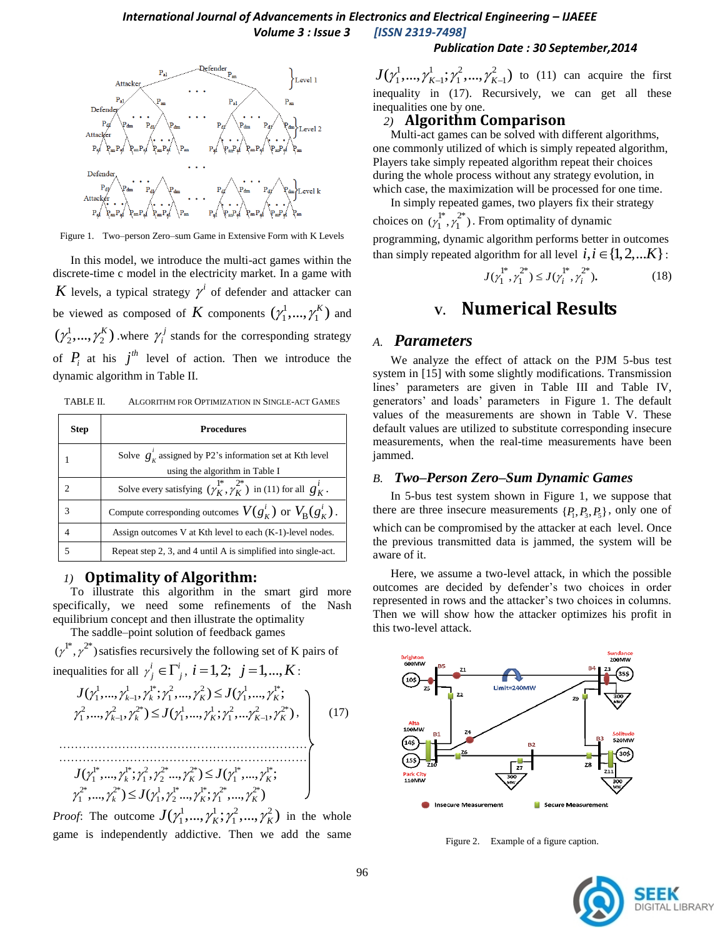

Figure 1. Two–person Zero–sum Game in Extensive Form with K Levels

In this model, we introduce the multi-act games within the discrete-time c model in the electricity market. In a game with K levels, a typical strategy  $\gamma^i$  of defender and attacker can be viewed as composed of K components  $(\gamma_1^1, ..., \gamma_1^K)$  and  $(\gamma_2^1, ..., \gamma_2^K)$  where  $\gamma_i^j$  $\gamma_i^j$  stands for the corresponding strategy of  $P_i$  at his  $j^{th}$  level of action. Then we introduce the dynamic algorithm in Table II.

| TABLE II. | ALGORITHM FOR OPTIMIZATION IN SINGLE-ACT GAMES |
|-----------|------------------------------------------------|
|           |                                                |

| <b>Step</b>    | <b>Procedures</b>                                                                    |  |  |  |  |
|----------------|--------------------------------------------------------------------------------------|--|--|--|--|
|                | Solve $g'_{k}$ assigned by P2's information set at Kth level                         |  |  |  |  |
|                | using the algorithm in Table I                                                       |  |  |  |  |
| C              | Solve every satisfying $(\gamma_K^1, \gamma_K^2)$ in (11) for all $g_K^i$ .          |  |  |  |  |
| 3              | Compute corresponding outcomes $V(g_{\kappa}^i)$ or $V_{\mathbf{R}}(g_{\kappa}^i)$ . |  |  |  |  |
| $\overline{4}$ | Assign outcomes V at Kth level to each (K-1)-level nodes.                            |  |  |  |  |
| 5              | Repeat step 2, 3, and 4 until A is simplified into single-act.                       |  |  |  |  |

## *1)* **Optimality of Algorithm:**

To illustrate this algorithm in the smart gird more specifically, we need some refinements of the Nash equilibrium concept and then illustrate the optimality

The saddle–point solution of feedback games  $(\gamma^{1*}, \gamma^{2*})$  satisfies recursively the following set of K pairs of

inequalities for all 
$$
\gamma_j^i \in \Gamma_j^i
$$
,  $i = 1, 2$ ;  $j = 1, ..., K$ :  
\n
$$
J(\gamma_1^1, ..., \gamma_{k-1}^1, \gamma_k^{1*}; \gamma_1^2, ..., \gamma_K^2) \leq J(\gamma_1^1, ..., \gamma_K^{1*};
$$
\n
$$
\gamma_1^2, ..., \gamma_{k-1}^2, \gamma_k^{2*}) \leq J(\gamma_1^1, ..., \gamma_k^1; \gamma_1^2, ..., \gamma_{K-1}^2, \gamma_K^{2*}),
$$
\n
$$
J(\gamma_1^{1*}, ..., \gamma_k^{1*}; \gamma_1^2, \gamma_2^{2*} ..., \gamma_k^{2*}) \leq J(\gamma_1^{1*}, ..., \gamma_k^{1*};
$$
\n
$$
\gamma_1^{2*}, ..., \gamma_k^{2*}) \leq J(\gamma_1^1, \gamma_2^{1*}, ..., \gamma_k^{1*}; \gamma_1^{2*}, ..., \gamma_k^{2*})
$$
\n(17)

*Proof*: The outcome  $J(\gamma_1^1, ..., \gamma_K^1; \gamma_1^2, ..., \gamma_K^2)$  in the whole game is independently addictive. Then we add the same

#### *Publication Date : 30 September,2014*

 $J(\gamma_1^1, ..., \gamma_{K-1}^1; \gamma_1^2, ..., \gamma_{K-1}^2)$  to (11) can acquire the first inequality in (17). Recursively, we can get all these inequalities one by one.

#### *2)* **Algorithm Comparison**

Multi-act games can be solved with different algorithms, one commonly utilized of which is simply repeated algorithm, Players take simply repeated algorithm repeat their choices during the whole process without any strategy evolution, in which case, the maximization will be processed for one time.

In simply repeated games, two players fix their strategy choices on  $(\gamma_1^{l^*}, \gamma_1^{2^*})$ . From optimality of dynamic programming, dynamic algorithm performs better in outcomes than simply repeated algorithm for all level  $i, i \in \{1, 2, ... K\}$ :

$$
J(\gamma_1^{1^*}, \gamma_1^{2^*}) \le J(\gamma_i^{1^*}, \gamma_i^{2^*}).
$$
 (18)

# **V. Numerical Results**

#### *A. Parameters*

We analyze the effect of attack on the PJM 5-bus test system in [15] with some slightly modifications. Transmission lines' parameters are given in Table III and Table IV, generators' and loads' parameters in Figure 1. The default values of the measurements are shown in Table V. These default values are utilized to substitute corresponding insecure measurements, when the real-time measurements have been jammed.

#### *B. Two–Person Zero–Sum Dynamic Games*

In 5-bus test system shown in Figure 1, we suppose that there are three insecure measurements  $\{P_1, P_3, P_5\}$ , only one of which can be compromised by the attacker at each level. Once the previous transmitted data is jammed, the system will be aware of it.

Here, we assume a two-level attack, in which the possible outcomes are decided by defender's two choices in order represented in rows and the attacker's two choices in columns. Then we will show how the attacker optimizes his profit in this two-level attack.



Figure 2. Example of a figure caption.